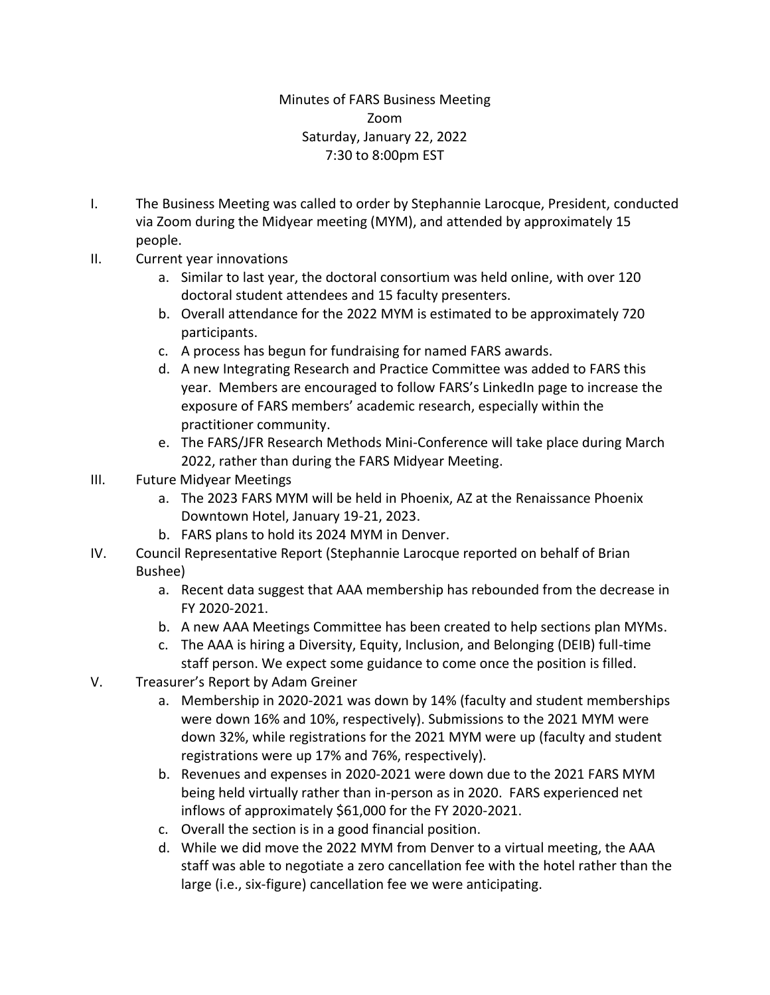## Minutes of FARS Business Meeting Zoom Saturday, January 22, 2022 7:30 to 8:00pm EST

- I. The Business Meeting was called to order by Stephannie Larocque, President, conducted via Zoom during the Midyear meeting (MYM), and attended by approximately 15 people.
- II. Current year innovations
	- a. Similar to last year, the doctoral consortium was held online, with over 120 doctoral student attendees and 15 faculty presenters.
	- b. Overall attendance for the 2022 MYM is estimated to be approximately 720 participants.
	- c. A process has begun for fundraising for named FARS awards.
	- d. A new Integrating Research and Practice Committee was added to FARS this year. Members are encouraged to follow FARS's LinkedIn page to increase the exposure of FARS members' academic research, especially within the practitioner community.
	- e. The FARS/JFR Research Methods Mini-Conference will take place during March 2022, rather than during the FARS Midyear Meeting.
- III. Future Midyear Meetings
	- a. The 2023 FARS MYM will be held in Phoenix, AZ at the Renaissance Phoenix Downtown Hotel, January 19-21, 2023.
	- b. FARS plans to hold its 2024 MYM in Denver.
- IV. Council Representative Report (Stephannie Larocque reported on behalf of Brian Bushee)
	- a. Recent data suggest that AAA membership has rebounded from the decrease in FY 2020-2021.
	- b. A new AAA Meetings Committee has been created to help sections plan MYMs.
	- c. The AAA is hiring a Diversity, Equity, Inclusion, and Belonging (DEIB) full-time staff person. We expect some guidance to come once the position is filled.
- V. Treasurer's Report by Adam Greiner
	- a. Membership in 2020-2021 was down by 14% (faculty and student memberships were down 16% and 10%, respectively). Submissions to the 2021 MYM were down 32%, while registrations for the 2021 MYM were up (faculty and student registrations were up 17% and 76%, respectively).
	- b. Revenues and expenses in 2020-2021 were down due to the 2021 FARS MYM being held virtually rather than in-person as in 2020. FARS experienced net inflows of approximately \$61,000 for the FY 2020-2021.
	- c. Overall the section is in a good financial position.
	- d. While we did move the 2022 MYM from Denver to a virtual meeting, the AAA staff was able to negotiate a zero cancellation fee with the hotel rather than the large (i.e., six-figure) cancellation fee we were anticipating.